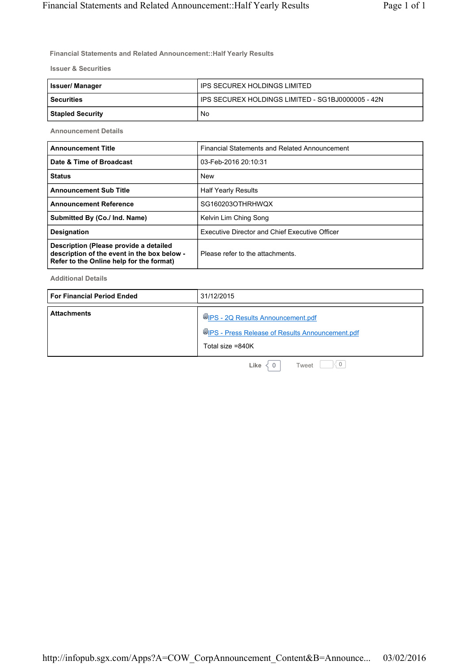**Financial Statements and Related Announcement::Half Yearly Results**

**Issuer & Securities**

| <b>Issuer/Manager</b> | IPS SECUREX HOLDINGS LIMITED                        |
|-----------------------|-----------------------------------------------------|
| l Securities          | I IPS SECUREX HOLDINGS LIMITED - SG1BJ0000005 - 42N |
| Stapled Security      | No                                                  |

**Announcement Details**

| <b>Announcement Title</b>                                                                                                         | Financial Statements and Related Announcement         |
|-----------------------------------------------------------------------------------------------------------------------------------|-------------------------------------------------------|
| Date & Time of Broadcast                                                                                                          | 03-Feb-2016 20:10:31                                  |
| <b>Status</b>                                                                                                                     | <b>New</b>                                            |
| <b>Announcement Sub Title</b>                                                                                                     | <b>Half Yearly Results</b>                            |
| <b>Announcement Reference</b>                                                                                                     | SG160203OTHRHWQX                                      |
| Submitted By (Co./ Ind. Name)                                                                                                     | Kelvin Lim Ching Song                                 |
| <b>Designation</b>                                                                                                                | <b>Executive Director and Chief Executive Officer</b> |
| Description (Please provide a detailed<br>description of the event in the box below -<br>Refer to the Online help for the format) | Please refer to the attachments.                      |

**Additional Details**

| <b>For Financial Period Ended</b> | 31/12/2015                                                                                                        |
|-----------------------------------|-------------------------------------------------------------------------------------------------------------------|
| <b>Attachments</b>                | <b>IDIPS - 2Q Results Announcement.pdf</b><br>UPS - Press Release of Results Announcement.pdf<br>Total size =840K |

**Like**  $\langle 0 |$  Tweet  $\Box 0$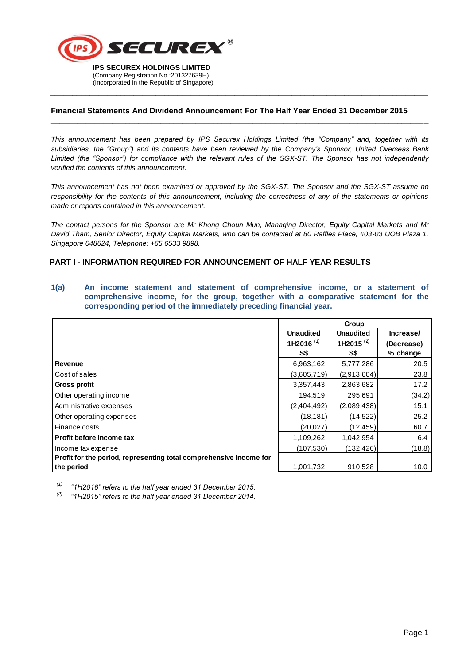

#### **Financial Statements And Dividend Announcement For The Half Year Ended 31 December 2015**

\_\_\_\_\_\_\_\_\_\_\_\_\_\_\_\_\_\_\_\_\_\_\_\_\_\_\_\_\_\_\_\_\_\_\_\_\_\_\_\_\_\_\_\_\_\_\_\_\_\_\_\_\_\_\_\_\_\_\_\_\_\_\_\_\_\_\_\_\_\_\_\_\_\_\_\_\_\_\_\_\_\_\_\_\_\_

**\_\_\_\_\_\_\_\_\_\_\_\_\_\_\_\_\_\_\_\_\_\_\_\_\_\_\_\_\_\_\_\_\_\_\_\_\_\_\_\_\_\_\_\_\_\_\_\_\_\_\_\_\_\_\_\_\_\_\_\_\_\_\_\_\_\_\_\_\_\_\_\_\_\_\_\_\_\_\_\_\_\_\_\_\_\_**

*This announcement has been prepared by IPS Securex Holdings Limited (the "Company" and, together with its subsidiaries, the "Group") and its contents have been reviewed by the Company's Sponsor, United Overseas Bank Limited (the "Sponsor") for compliance with the relevant rules of the SGX-ST. The Sponsor has not independently verified the contents of this announcement.*

*This announcement has not been examined or approved by the SGX-ST. The Sponsor and the SGX-ST assume no responsibility for the contents of this announcement, including the correctness of any of the statements or opinions made or reports contained in this announcement.*

*The contact persons for the Sponsor are Mr Khong Choun Mun, Managing Director, Equity Capital Markets and Mr David Tham, Senior Director, Equity Capital Markets, who can be contacted at 80 Raffles Place, #03-03 UOB Plaza 1, Singapore 048624, Telephone: +65 6533 9898.* 

## **PART I - INFORMATION REQUIRED FOR ANNOUNCEMENT OF HALF YEAR RESULTS**

| corresponding period of the immediately preceding financial year.  |                       |                  |            |
|--------------------------------------------------------------------|-----------------------|------------------|------------|
|                                                                    | Group                 |                  |            |
|                                                                    | <b>Unaudited</b>      | <b>Unaudited</b> | Increase/  |
|                                                                    | 1H2016 <sup>(1)</sup> | 1H2015 $(2)$     | (Decrease) |
|                                                                    | S\$                   | S\$              | % change   |
| <b>Revenue</b>                                                     | 6,963,162             | 5,777,286        | 20.5       |
| Cost of sales                                                      | (3,605,719)           | (2,913,604)      | 23.8       |
| Gross profit                                                       | 3,357,443             | 2,863,682        | 17.2       |
| Other operating income                                             | 194,519               | 295,691          | (34.2)     |
| Administrative expenses                                            | (2,404,492)           | (2,089,438)      | 15.1       |
| Other operating expenses                                           | (18, 181)             | (14, 522)        | 25.2       |
| Finance costs                                                      | (20, 027)             | (12, 459)        | 60.7       |
| Profit before income tax                                           | 1,109,262             | 1,042,954        | 6.4        |
| Income tax expense                                                 | (107, 530)            | (132, 426)       | (18.8)     |
| Profit for the period, representing total comprehensive income for |                       |                  |            |
| the period                                                         | 1,001,732             | 910,528          | 10.0       |

**1(a) An income statement and statement of comprehensive income, or a statement of comprehensive income, for the group, together with a comparative statement for the** 

*(1) "1H2016" refers to the half year ended 31 December 2015.*

*(2) "1H2015" refers to the half year ended 31 December 2014.*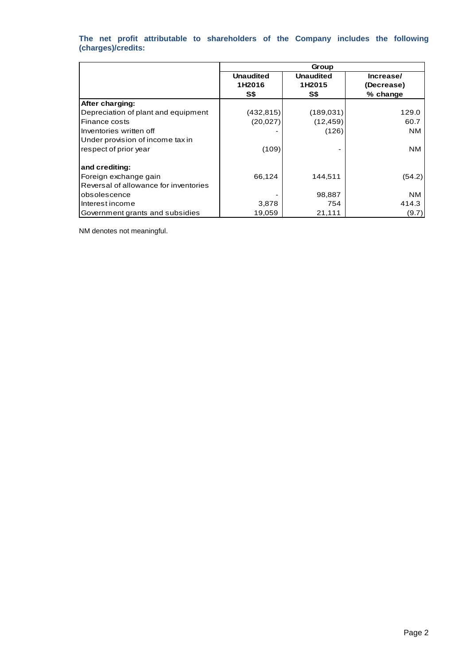## **The net profit attributable to shareholders of the Company includes the following (charges)/credits:**

|                                       | Group                      |                            |                         |  |
|---------------------------------------|----------------------------|----------------------------|-------------------------|--|
|                                       | <b>Unaudited</b><br>1H2016 | <b>Unaudited</b><br>1H2015 | Increase/<br>(Decrease) |  |
|                                       | S\$                        | S\$                        | % change                |  |
| After charging:                       |                            |                            |                         |  |
| Depreciation of plant and equipment   | (432, 815)                 | (189, 031)                 | 129.0                   |  |
| Finance costs                         | (20, 027)                  | (12, 459)                  | 60.7                    |  |
| Inventories written off               |                            | (126)                      | NM.                     |  |
| Under provision of income tax in      |                            |                            |                         |  |
| respect of prior year                 | (109)                      |                            | NM.                     |  |
| and crediting:                        |                            |                            |                         |  |
| Foreign exchange gain                 | 66,124                     | 144,511                    | (54.2)                  |  |
| Reversal of allowance for inventories |                            |                            |                         |  |
| obsolescence                          |                            | 98,887                     | NM.                     |  |
| Interest income                       | 3,878                      | 754                        | 414.3                   |  |
| Government grants and subsidies       | 19,059                     | 21,111                     | (9.7)                   |  |

NM denotes not meaningful.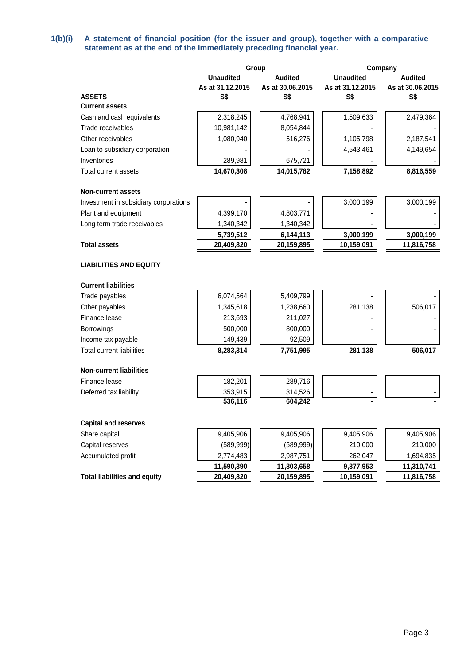## **1(b)(i) A statement of financial position (for the issuer and group), together with a comparative statement as at the end of the immediately preceding financial year.**

|                                       |                  | Group            |                  | Company          |  |
|---------------------------------------|------------------|------------------|------------------|------------------|--|
|                                       | <b>Unaudited</b> | <b>Audited</b>   | <b>Unaudited</b> | <b>Audited</b>   |  |
|                                       | As at 31.12.2015 | As at 30.06.2015 | As at 31.12.2015 | As at 30.06.2015 |  |
| <b>ASSETS</b>                         | S\$              | S\$              | S\$              | S\$              |  |
| <b>Current assets</b>                 |                  |                  |                  |                  |  |
| Cash and cash equivalents             | 2,318,245        | 4,768,941        | 1,509,633        | 2,479,364        |  |
| Trade receivables                     | 10,981,142       | 8,054,844        |                  |                  |  |
| Other receivables                     | 1,080,940        | 516,276          | 1,105,798        | 2,187,541        |  |
| Loan to subsidiary corporation        |                  |                  | 4,543,461        | 4,149,654        |  |
| Inventories                           | 289,981          | 675,721          |                  |                  |  |
| Total current assets                  | 14,670,308       | 14,015,782       | 7,158,892        | 8,816,559        |  |
| <b>Non-current assets</b>             |                  |                  |                  |                  |  |
| Investment in subsidiary corporations |                  |                  | 3,000,199        | 3,000,199        |  |
| Plant and equipment                   | 4,399,170        | 4,803,771        |                  |                  |  |
| Long term trade receivables           | 1,340,342        | 1,340,342        |                  |                  |  |
|                                       | 5,739,512        | 6,144,113        | 3,000,199        | 3,000,199        |  |
| <b>Total assets</b>                   | 20,409,820       | 20,159,895       | 10,159,091       | 11,816,758       |  |
| <b>LIABILITIES AND EQUITY</b>         |                  |                  |                  |                  |  |
| <b>Current liabilities</b>            |                  |                  |                  |                  |  |
| Trade payables                        | 6,074,564        | 5,409,799        |                  |                  |  |
| Other payables                        | 1,345,618        | 1,238,660        | 281,138          | 506,017          |  |
| Finance lease                         | 213,693          | 211,027          |                  |                  |  |
| Borrowings                            | 500,000          | 800,000          |                  |                  |  |
| Income tax payable                    | 149,439          | 92,509           |                  |                  |  |
| <b>Total current liabilities</b>      | 8,283,314        | 7,751,995        | 281,138          | 506,017          |  |
| <b>Non-current liabilities</b>        |                  |                  |                  |                  |  |
| Finance lease                         | 182,201          | 289,716          |                  |                  |  |
| Deferred tax liability                | 353,915          | 314,526          |                  |                  |  |
|                                       | 536,116          | 604,242          |                  |                  |  |
| <b>Capital and reserves</b>           |                  |                  |                  |                  |  |
| Share capital                         | 9,405,906        | 9,405,906        | 9,405,906        | 9,405,906        |  |
| Capital reserves                      | (589, 999)       | (589, 999)       | 210,000          | 210,000          |  |
| Accumulated profit                    | 2,774,483        | 2,987,751        | 262,047          | 1,694,835        |  |
|                                       | 11,590,390       | 11,803,658       | 9,877,953        | 11,310,741       |  |
| <b>Total liabilities and equity</b>   | 20,409,820       | 20,159,895       | 10,159,091       | 11,816,758       |  |
|                                       |                  |                  |                  |                  |  |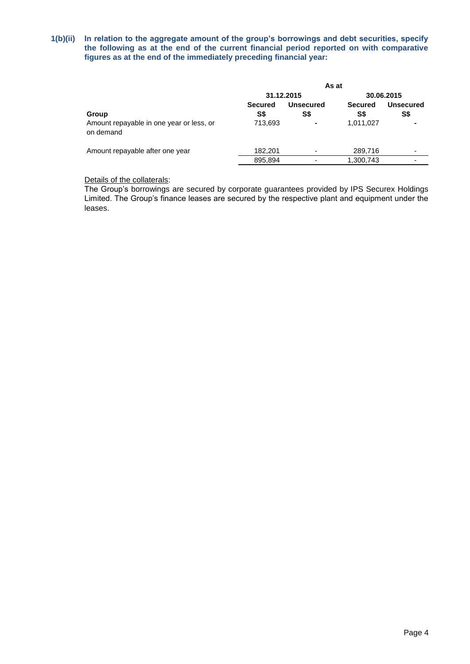## **1(b)(ii) In relation to the aggregate amount of the group's borrowings and debt securities, specify the following as at the end of the current financial period reported on with comparative figures as at the end of the immediately preceding financial year:**

|                                                       | As at          |                          |                |                  |
|-------------------------------------------------------|----------------|--------------------------|----------------|------------------|
|                                                       |                | 31.12.2015               |                | 30.06.2015       |
|                                                       | <b>Secured</b> | <b>Unsecured</b>         | <b>Secured</b> | <b>Unsecured</b> |
| Group                                                 | S\$            | S\$                      | S\$            | S\$              |
| Amount repayable in one year or less, or<br>on demand | 713,693        | $\blacksquare$           | 1,011,027      |                  |
| Amount repayable after one year                       | 182,201        | $\overline{\phantom{a}}$ | 289,716        |                  |
|                                                       | 895,894        | $\overline{\phantom{a}}$ | 1,300,743      | -                |
|                                                       |                |                          |                |                  |

## Details of the collaterals:

The Group's borrowings are secured by corporate guarantees provided by IPS Securex Holdings Limited. The Group's finance leases are secured by the respective plant and equipment under the leases.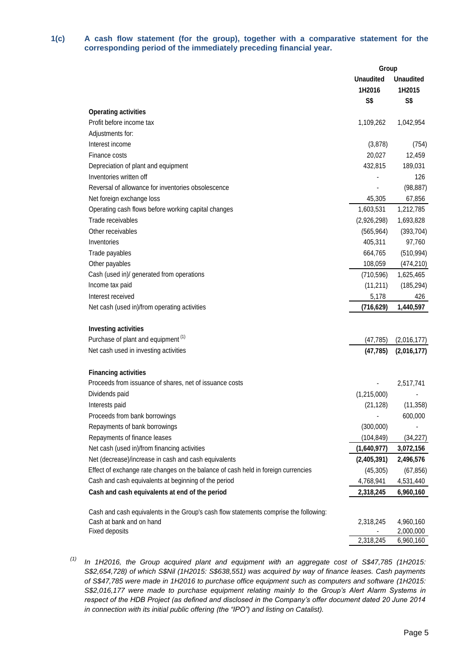## **1(c) A cash flow statement (for the group), together with a comparative statement for the corresponding period of the immediately preceding financial year.**

|                                                                                       | Group            |                  |
|---------------------------------------------------------------------------------------|------------------|------------------|
|                                                                                       | <b>Unaudited</b> | <b>Unaudited</b> |
|                                                                                       | 1H2016           | 1H2015           |
|                                                                                       | S\$              | S\$              |
| <b>Operating activities</b>                                                           |                  |                  |
| Profit before income tax                                                              | 1,109,262        | 1,042,954        |
| Adjustments for:                                                                      |                  |                  |
| Interest income                                                                       | (3,878)          | (754)            |
| Finance costs                                                                         | 20,027           | 12,459           |
| Depreciation of plant and equipment                                                   | 432,815          | 189,031          |
| Inventories written off                                                               |                  | 126              |
| Reversal of allowance for inventories obsolescence                                    |                  | (98, 887)        |
| Net foreign exchange loss                                                             | 45,305           | 67,856           |
| Operating cash flows before working capital changes                                   | 1,603,531        | 1,212,785        |
| Trade receivables                                                                     | (2,926,298)      | 1,693,828        |
| Other receivables                                                                     | (565, 964)       | (393, 704)       |
| Inventories                                                                           | 405,311          | 97,760           |
| Trade payables                                                                        | 664,765          | (510, 994)       |
| Other payables                                                                        | 108,059          | (474, 210)       |
| Cash (used in)/ generated from operations                                             | (710, 596)       | 1,625,465        |
| Income tax paid                                                                       | (11,211)         | (185, 294)       |
| Interest received                                                                     | 5,178            | 426              |
| Net cash (used in)/from operating activities                                          | (716,629)        | 1,440,597        |
|                                                                                       |                  |                  |
| <b>Investing activities</b>                                                           |                  |                  |
| Purchase of plant and equipment <sup>(1)</sup>                                        | (47,785)         | (2,016,177)      |
| Net cash used in investing activities                                                 | (47, 785)        | (2,016,177)      |
| <b>Financing activities</b>                                                           |                  |                  |
| Proceeds from issuance of shares, net of issuance costs                               |                  | 2,517,741        |
| Dividends paid                                                                        | (1,215,000)      |                  |
| Interests paid                                                                        | (21, 128)        | (11, 358)        |
| Proceeds from bank borrowings                                                         |                  | 600,000          |
| Repayments of bank borrowings                                                         | (300,000)        |                  |
| Repayments of finance leases                                                          | (104, 849)       | (34, 227)        |
| Net cash (used in)/from financing activities                                          | (1,640,977)      | 3,072,156        |
| Net (decrease)/increase in cash and cash equivalents                                  | (2,405,391)      | 2,496,576        |
| Effect of exchange rate changes on the balance of cash held in foreign currencies     | (45, 305)        | (67, 856)        |
| Cash and cash equivalents at beginning of the period                                  | 4,768,941        | 4,531,440        |
| Cash and cash equivalents at end of the period                                        | 2,318,245        | 6,960,160        |
|                                                                                       |                  |                  |
| Cash and cash equivalents in the Group's cash flow statements comprise the following: |                  |                  |
| Cash at bank and on hand                                                              | 2,318,245        | 4,960,160        |
| Fixed deposits                                                                        |                  | 2,000,000        |
|                                                                                       | 2,318,245        | 6,960,160        |

*(1) In 1H2016, the Group acquired plant and equipment with an aggregate cost of S\$47,785 (1H2015: S\$2,654,728) of which S\$Nil (1H2015: S\$638,551) was acquired by way of finance leases. Cash payments of S\$47,785 were made in 1H2016 to purchase office equipment such as computers and software (1H2015: S\$2,016,177 were made to purchase equipment relating mainly to the Group's Alert Alarm Systems in respect of the HDB Project (as defined and disclosed in the Company's offer document dated 20 June 2014 in connection with its initial public offering (the "IPO") and listing on Catalist).*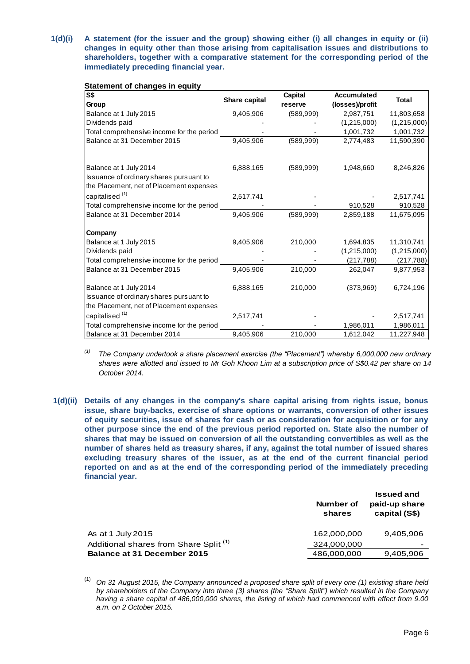**1(d)(i) A statement (for the issuer and the group) showing either (i) all changes in equity or (ii) changes in equity other than those arising from capitalisation issues and distributions to shareholders, together with a comparative statement for the corresponding period of the immediately preceding financial year.**

| $\overline{\mathsf{S}}$                                                                                       | Share capital | <b>Capital</b> | <b>Accumulated</b> | <b>Total</b> |
|---------------------------------------------------------------------------------------------------------------|---------------|----------------|--------------------|--------------|
| Group                                                                                                         |               | reserve        | (losses)/profit    |              |
| Balance at 1 July 2015                                                                                        | 9,405,906     | (589, 999)     | 2,987,751          | 11,803,658   |
| Dividends paid                                                                                                |               |                | (1,215,000)        | (1,215,000)  |
| Total comprehensive income for the period                                                                     |               |                | 1,001,732          | 1,001,732    |
| Balance at 31 December 2015                                                                                   | 9,405,906     | (589, 999)     | 2,774,483          | 11,590,390   |
|                                                                                                               |               |                |                    |              |
| Balance at 1 July 2014<br>Issuance of ordinary shares pursuant to<br>the Placement, net of Placement expenses | 6,888,165     | (589, 999)     | 1,948,660          | 8,246,826    |
| capitalised <sup>(1)</sup>                                                                                    | 2,517,741     |                |                    | 2,517,741    |
| Total comprehensive income for the period                                                                     |               |                | 910,528            | 910,528      |
| Balance at 31 December 2014                                                                                   | 9,405,906     | (589, 999)     | 2,859,188          | 11,675,095   |
| Company                                                                                                       |               |                |                    |              |
| Balance at 1 July 2015                                                                                        | 9,405,906     | 210,000        | 1,694,835          | 11,310,741   |
| Dividends paid                                                                                                |               |                | (1,215,000)        | (1,215,000)  |
| Total comprehensive income for the period                                                                     |               |                | (217, 788)         | (217, 788)   |
| Balance at 31 December 2015                                                                                   | 9,405,906     | 210,000        | 262,047            | 9,877,953    |
| Balance at 1 July 2014<br>Issuance of ordinary shares pursuant to<br>the Placement, net of Placement expenses | 6,888,165     | 210,000        | (373,969)          | 6,724,196    |
|                                                                                                               |               |                |                    |              |
| capitalised <sup>(1)</sup>                                                                                    | 2,517,741     |                |                    | 2,517,741    |
| Total comprehensive income for the period                                                                     |               |                | 1,986,011          | 1,986,011    |
| Balance at 31 December 2014                                                                                   | 9,405,906     | 210,000        | 1,612,042          | 11,227,948   |

#### **Statement of changes in equity**

*(1) The Company undertook a share placement exercise (the "Placement") whereby 6,000,000 new ordinary shares were allotted and issued to Mr Goh Khoon Lim at a subscription price of S\$0.42 per share on 14 October 2014.*

**1(d)(ii) Details of any changes in the company's share capital arising from rights issue, bonus issue, share buy-backs, exercise of share options or warrants, conversion of other issues of equity securities, issue of shares for cash or as consideration for acquisition or for any other purpose since the end of the previous period reported on. State also the number of shares that may be issued on conversion of all the outstanding convertibles as well as the number of shares held as treasury shares, if any, against the total number of issued shares excluding treasury shares of the issuer, as at the end of the current financial period reported on and as at the end of the corresponding period of the immediately preceding financial year.**

|                                                   | Number of<br>shares | <b>Issued and</b><br>paid-up share<br>capital (S\$) |
|---------------------------------------------------|---------------------|-----------------------------------------------------|
| As at 1 July 2015                                 | 162,000,000         | 9.405.906                                           |
| Additional shares from Share Split <sup>(1)</sup> | 324,000,000         | -                                                   |
| Balance at 31 December 2015                       | 486,000,000         | 9,405,906                                           |

<sup>(1)</sup> *On 31 August 2015, the Company announced a proposed share split of every one (1) existing share held by shareholders of the Company into three (3) shares (the "Share Split") which resulted in the Company having a share capital of 486,000,000 shares, the listing of which had commenced with effect from 9.00 a.m. on 2 October 2015.*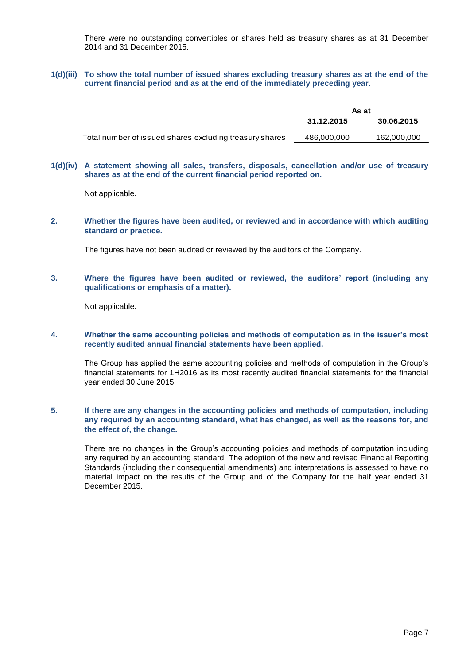There were no outstanding convertibles or shares held as treasury shares as at 31 December 2014 and 31 December 2015.

## **1(d)(iii) To show the total number of issued shares excluding treasury shares as at the end of the current financial period and as at the end of the immediately preceding year.**

|                                                         | As at       |             |
|---------------------------------------------------------|-------------|-------------|
|                                                         | 31.12.2015  | 30.06.2015  |
| Total number of issued shares excluding treasury shares | 486,000,000 | 162,000,000 |

#### **1(d)(iv) A statement showing all sales, transfers, disposals, cancellation and/or use of treasury shares as at the end of the current financial period reported on.**

Not applicable.

**2. Whether the figures have been audited, or reviewed and in accordance with which auditing standard or practice.**

The figures have not been audited or reviewed by the auditors of the Company.

**3. Where the figures have been audited or reviewed, the auditors' report (including any qualifications or emphasis of a matter).**

Not applicable.

## **4. Whether the same accounting policies and methods of computation as in the issuer's most recently audited annual financial statements have been applied.**

The Group has applied the same accounting policies and methods of computation in the Group's financial statements for 1H2016 as its most recently audited financial statements for the financial year ended 30 June 2015.

## **5. If there are any changes in the accounting policies and methods of computation, including any required by an accounting standard, what has changed, as well as the reasons for, and the effect of, the change.**

There are no changes in the Group's accounting policies and methods of computation including any required by an accounting standard. The adoption of the new and revised Financial Reporting Standards (including their consequential amendments) and interpretations is assessed to have no material impact on the results of the Group and of the Company for the half year ended 31 December 2015.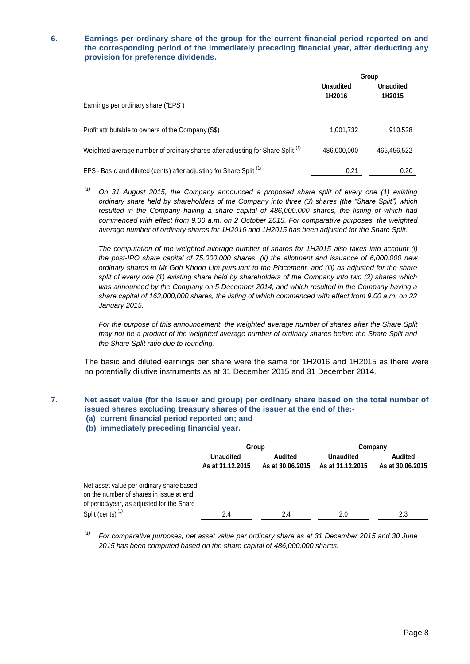**6. Earnings per ordinary share of the group for the current financial period reported on and the corresponding period of the immediately preceding financial year, after deducting any provision for preference dividends.**

|                                                                                           | Group                      |                            |
|-------------------------------------------------------------------------------------------|----------------------------|----------------------------|
|                                                                                           | <b>Unaudited</b><br>1H2016 | <b>Unaudited</b><br>1H2015 |
| Earnings per ordinary share ("EPS")                                                       |                            |                            |
| Profit attributable to owners of the Company (S\$)                                        | 1,001,732                  | 910.528                    |
| Weighted average number of ordinary shares after adjusting for Share Split <sup>(1)</sup> | 486,000,000                | 465,456,522                |
| EPS - Basic and diluted (cents) after adjusting for Share Split <sup>(1)</sup>            | 0.21                       | 0.20                       |

*(1) On 31 August 2015, the Company announced a proposed share split of every one (1) existing ordinary share held by shareholders of the Company into three (3) shares (the "Share Split") which resulted in the Company having a share capital of 486,000,000 shares, the listing of which had commenced with effect from 9.00 a.m. on 2 October 2015. For comparative purposes, the weighted average number of ordinary shares for 1H2016 and 1H2015 has been adjusted for the Share Split.*

*The computation of the weighted average number of shares for 1H2015 also takes into account (i) the post-IPO share capital of 75,000,000 shares, (ii) the allotment and issuance of 6,000,000 new ordinary shares to Mr Goh Khoon Lim pursuant to the Placement, and (iii) as adjusted for the share split of every one (1) existing share held by shareholders of the Company into two (2) shares which was announced by the Company on 5 December 2014, and which resulted in the Company having a share capital of 162,000,000 shares, the listing of which commenced with effect from 9.00 a.m. on 22 January 2015.*

*For the purpose of this announcement, the weighted average number of shares after the Share Split may not be a product of the weighted average number of ordinary shares before the Share Split and the Share Split ratio due to rounding.*

The basic and diluted earnings per share were the same for 1H2016 and 1H2015 as there were no potentially dilutive instruments as at 31 December 2015 and 31 December 2014.

## **7. Net asset value (for the issuer and group) per ordinary share based on the total number of issued shares excluding treasury shares of the issuer at the end of the:-**

- **(a) current financial period reported on; and**
- **(b) immediately preceding financial year.**

|                                                                                                                                  | Group                                |                                    | Company                              |                                    |
|----------------------------------------------------------------------------------------------------------------------------------|--------------------------------------|------------------------------------|--------------------------------------|------------------------------------|
|                                                                                                                                  | <b>Unaudited</b><br>As at 31.12.2015 | <b>Audited</b><br>As at 30.06.2015 | <b>Unaudited</b><br>As at 31.12.2015 | <b>Audited</b><br>As at 30.06.2015 |
| Net asset value per ordinary share based<br>on the number of shares in issue at end<br>of period/year, as adjusted for the Share |                                      |                                    |                                      |                                    |
| Split (cents) <sup>(1)</sup>                                                                                                     | 2.4                                  | 2.4                                | 2.0                                  | 2.3                                |

*(1) For comparative purposes, net asset value per ordinary share as at 31 December 2015 and 30 June 2015 has been computed based on the share capital of 486,000,000 shares.*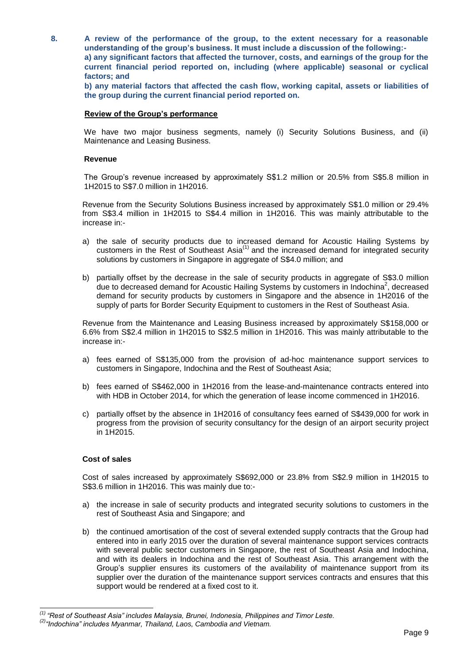**8. A review of the performance of the group, to the extent necessary for a reasonable understanding of the group's business. It must include a discussion of the following: a) any significant factors that affected the turnover, costs, and earnings of the group for the current financial period reported on, including (where applicable) seasonal or cyclical factors; and**

**b) any material factors that affected the cash flow, working capital, assets or liabilities of the group during the current financial period reported on.**

#### **Review of the Group's performance**

We have two major business segments, namely (i) Security Solutions Business, and (ii) Maintenance and Leasing Business.

#### **Revenue**

The Group's revenue increased by approximately S\$1.2 million or 20.5% from S\$5.8 million in 1H2015 to S\$7.0 million in 1H2016.

Revenue from the Security Solutions Business increased by approximately S\$1.0 million or 29.4% from S\$3.4 million in 1H2015 to S\$4.4 million in 1H2016. This was mainly attributable to the increase in:-

- a) the sale of security products due to increased demand for Acoustic Hailing Systems by customers in the Rest of Southeast Asia $<sup>(1)</sup>$  and the increased demand for integrated security</sup> solutions by customers in Singapore in aggregate of S\$4.0 million; and
- b) partially offset by the decrease in the sale of security products in aggregate of S\$3.0 million due to decreased demand for Acoustic Hailing Systems by customers in Indochina<sup>2</sup>, decreased demand for security products by customers in Singapore and the absence in 1H2016 of the supply of parts for Border Security Equipment to customers in the Rest of Southeast Asia.

Revenue from the Maintenance and Leasing Business increased by approximately S\$158,000 or 6.6% from S\$2.4 million in 1H2015 to S\$2.5 million in 1H2016. This was mainly attributable to the increase in:-

- a) fees earned of S\$135,000 from the provision of ad-hoc maintenance support services to customers in Singapore, Indochina and the Rest of Southeast Asia;
- b) fees earned of S\$462,000 in 1H2016 from the lease-and-maintenance contracts entered into with HDB in October 2014, for which the generation of lease income commenced in 1H2016.
- c) partially offset by the absence in 1H2016 of consultancy fees earned of S\$439,000 for work in progress from the provision of security consultancy for the design of an airport security project in 1H2015.

#### **Cost of sales**

 $\overline{a}$ 

Cost of sales increased by approximately S\$692,000 or 23.8% from S\$2.9 million in 1H2015 to S\$3.6 million in 1H2016. This was mainly due to:-

- a) the increase in sale of security products and integrated security solutions to customers in the rest of Southeast Asia and Singapore; and
- b) the continued amortisation of the cost of several extended supply contracts that the Group had entered into in early 2015 over the duration of several maintenance support services contracts with several public sector customers in Singapore, the rest of Southeast Asia and Indochina, and with its dealers in Indochina and the rest of Southeast Asia. This arrangement with the Group's supplier ensures its customers of the availability of maintenance support from its supplier over the duration of the maintenance support services contracts and ensures that this support would be rendered at a fixed cost to it.

*<sup>(1)</sup> "Rest of Southeast Asia" includes Malaysia, Brunei, Indonesia, Philippines and Timor Leste.*

*<sup>(2)</sup> "Indochina" includes Myanmar, Thailand, Laos, Cambodia and Vietnam.*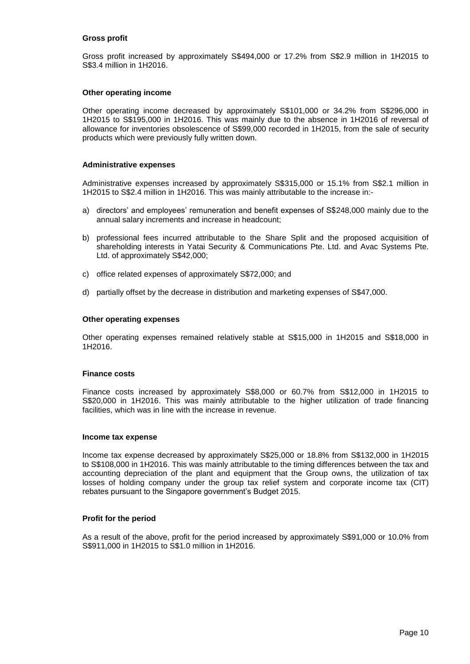#### **Gross profit**

Gross profit increased by approximately S\$494,000 or 17.2% from S\$2.9 million in 1H2015 to S\$3.4 million in 1H2016.

#### **Other operating income**

Other operating income decreased by approximately S\$101,000 or 34.2% from S\$296,000 in 1H2015 to S\$195,000 in 1H2016. This was mainly due to the absence in 1H2016 of reversal of allowance for inventories obsolescence of S\$99,000 recorded in 1H2015, from the sale of security products which were previously fully written down.

#### **Administrative expenses**

Administrative expenses increased by approximately S\$315,000 or 15.1% from S\$2.1 million in 1H2015 to S\$2.4 million in 1H2016. This was mainly attributable to the increase in:-

- a) directors' and employees' remuneration and benefit expenses of S\$248,000 mainly due to the annual salary increments and increase in headcount;
- b) professional fees incurred attributable to the Share Split and the proposed acquisition of shareholding interests in Yatai Security & Communications Pte. Ltd. and Avac Systems Pte. Ltd. of approximately S\$42,000;
- c) office related expenses of approximately S\$72,000; and
- d) partially offset by the decrease in distribution and marketing expenses of S\$47,000.

#### **Other operating expenses**

Other operating expenses remained relatively stable at S\$15,000 in 1H2015 and S\$18,000 in 1H2016.

#### **Finance costs**

Finance costs increased by approximately S\$8,000 or 60.7% from S\$12,000 in 1H2015 to S\$20,000 in 1H2016. This was mainly attributable to the higher utilization of trade financing facilities, which was in line with the increase in revenue.

#### **Income tax expense**

Income tax expense decreased by approximately S\$25,000 or 18.8% from S\$132,000 in 1H2015 to S\$108,000 in 1H2016. This was mainly attributable to the timing differences between the tax and accounting depreciation of the plant and equipment that the Group owns, the utilization of tax losses of holding company under the group tax relief system and corporate income tax (CIT) rebates pursuant to the Singapore government's Budget 2015.

#### **Profit for the period**

As a result of the above, profit for the period increased by approximately S\$91,000 or 10.0% from S\$911,000 in 1H2015 to S\$1.0 million in 1H2016.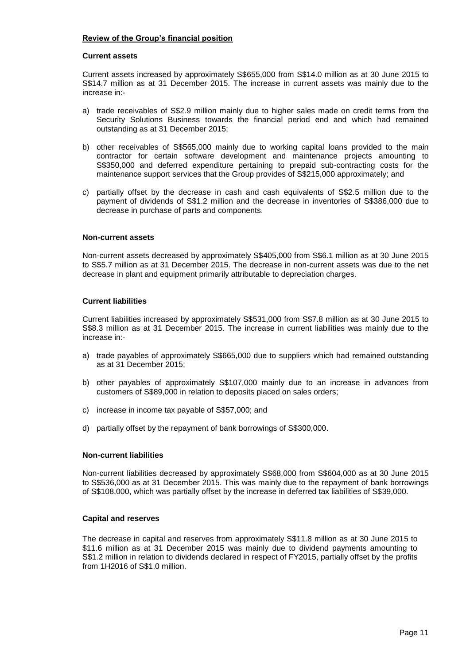## **Review of the Group's financial position**

#### **Current assets**

Current assets increased by approximately S\$655,000 from S\$14.0 million as at 30 June 2015 to S\$14.7 million as at 31 December 2015. The increase in current assets was mainly due to the increase in:-

- a) trade receivables of S\$2.9 million mainly due to higher sales made on credit terms from the Security Solutions Business towards the financial period end and which had remained outstanding as at 31 December 2015;
- b) other receivables of S\$565,000 mainly due to working capital loans provided to the main contractor for certain software development and maintenance projects amounting to S\$350,000 and deferred expenditure pertaining to prepaid sub-contracting costs for the maintenance support services that the Group provides of S\$215,000 approximately; and
- c) partially offset by the decrease in cash and cash equivalents of S\$2.5 million due to the payment of dividends of S\$1.2 million and the decrease in inventories of S\$386,000 due to decrease in purchase of parts and components.

#### **Non-current assets**

Non-current assets decreased by approximately S\$405,000 from S\$6.1 million as at 30 June 2015 to S\$5.7 million as at 31 December 2015. The decrease in non-current assets was due to the net decrease in plant and equipment primarily attributable to depreciation charges.

#### **Current liabilities**

Current liabilities increased by approximately S\$531,000 from S\$7.8 million as at 30 June 2015 to S\$8.3 million as at 31 December 2015. The increase in current liabilities was mainly due to the increase in:-

- a) trade payables of approximately S\$665,000 due to suppliers which had remained outstanding as at 31 December 2015;
- b) other payables of approximately S\$107,000 mainly due to an increase in advances from customers of S\$89,000 in relation to deposits placed on sales orders;
- c) increase in income tax payable of S\$57,000; and
- d) partially offset by the repayment of bank borrowings of S\$300,000.

#### **Non-current liabilities**

Non-current liabilities decreased by approximately S\$68,000 from S\$604,000 as at 30 June 2015 to S\$536,000 as at 31 December 2015. This was mainly due to the repayment of bank borrowings of S\$108,000, which was partially offset by the increase in deferred tax liabilities of S\$39,000.

#### **Capital and reserves**

The decrease in capital and reserves from approximately S\$11.8 million as at 30 June 2015 to \$11.6 million as at 31 December 2015 was mainly due to dividend payments amounting to S\$1.2 million in relation to dividends declared in respect of FY2015, partially offset by the profits from 1H2016 of S\$1.0 million.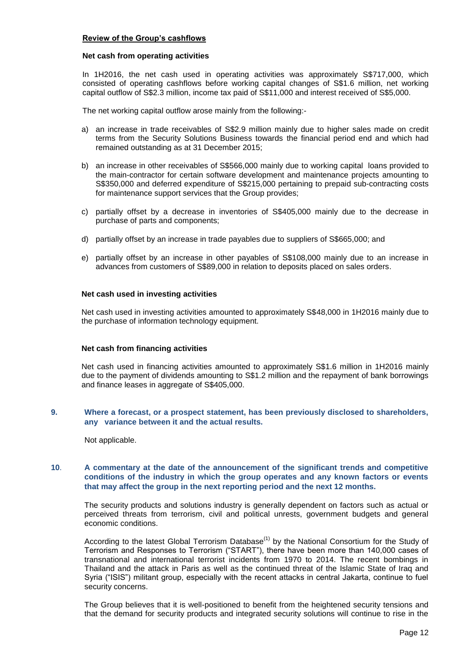#### **Review of the Group's cashflows**

#### **Net cash from operating activities**

In 1H2016, the net cash used in operating activities was approximately S\$717,000, which consisted of operating cashflows before working capital changes of S\$1.6 million, net working capital outflow of S\$2.3 million, income tax paid of S\$11,000 and interest received of S\$5,000.

The net working capital outflow arose mainly from the following:-

- a) an increase in trade receivables of S\$2.9 million mainly due to higher sales made on credit terms from the Security Solutions Business towards the financial period end and which had remained outstanding as at 31 December 2015;
- b) an increase in other receivables of S\$566,000 mainly due to working capital loans provided to the main-contractor for certain software development and maintenance projects amounting to S\$350,000 and deferred expenditure of S\$215,000 pertaining to prepaid sub-contracting costs for maintenance support services that the Group provides;
- c) partially offset by a decrease in inventories of S\$405,000 mainly due to the decrease in purchase of parts and components;
- d) partially offset by an increase in trade payables due to suppliers of S\$665,000; and
- e) partially offset by an increase in other payables of S\$108,000 mainly due to an increase in advances from customers of S\$89,000 in relation to deposits placed on sales orders.

#### **Net cash used in investing activities**

Net cash used in investing activities amounted to approximately S\$48,000 in 1H2016 mainly due to the purchase of information technology equipment.

#### **Net cash from financing activities**

Net cash used in financing activities amounted to approximately S\$1.6 million in 1H2016 mainly due to the payment of dividends amounting to S\$1.2 million and the repayment of bank borrowings and finance leases in aggregate of S\$405,000.

#### **9. Where a forecast, or a prospect statement, has been previously disclosed to shareholders, any variance between it and the actual results.**

Not applicable.

### **10**. **A commentary at the date of the announcement of the significant trends and competitive conditions of the industry in which the group operates and any known factors or events that may affect the group in the next reporting period and the next 12 months.**

The security products and solutions industry is generally dependent on factors such as actual or perceived threats from terrorism, civil and political unrests, government budgets and general economic conditions.

According to the latest Global Terrorism Database<sup>(1)</sup> by the National Consortium for the Study of Terrorism and Responses to Terrorism ("START"), there have been more than 140,000 cases of transnational and international terrorist incidents from 1970 to 2014. The recent bombings in Thailand and the attack in Paris as well as the continued threat of the Islamic State of Iraq and Syria ("ISIS") militant group, especially with the recent attacks in central Jakarta, continue to fuel security concerns.

The Group believes that it is well-positioned to benefit from the heightened security tensions and that the demand for security products and integrated security solutions will continue to rise in the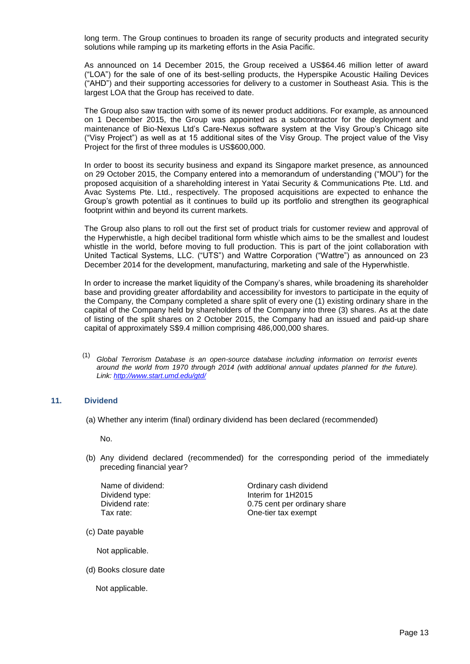long term. The Group continues to broaden its range of security products and integrated security solutions while ramping up its marketing efforts in the Asia Pacific.

As announced on 14 December 2015, the Group received a US\$64.46 million letter of award ("LOA") for the sale of one of its best-selling products, the Hyperspike Acoustic Hailing Devices ("AHD") and their supporting accessories for delivery to a customer in Southeast Asia. This is the largest LOA that the Group has received to date.

The Group also saw traction with some of its newer product additions. For example, as announced on 1 December 2015, the Group was appointed as a subcontractor for the deployment and maintenance of Bio-Nexus Ltd's Care-Nexus software system at the Visy Group's Chicago site ("Visy Project") as well as at 15 additional sites of the Visy Group. The project value of the Visy Project for the first of three modules is US\$600,000.

In order to boost its security business and expand its Singapore market presence, as announced on 29 October 2015, the Company entered into a memorandum of understanding ("MOU") for the proposed acquisition of a shareholding interest in Yatai Security & Communications Pte. Ltd. and Avac Systems Pte. Ltd., respectively. The proposed acquisitions are expected to enhance the Group's growth potential as it continues to build up its portfolio and strengthen its geographical footprint within and beyond its current markets.

The Group also plans to roll out the first set of product trials for customer review and approval of the Hyperwhistle, a high decibel traditional form whistle which aims to be the smallest and loudest whistle in the world, before moving to full production. This is part of the joint collaboration with United Tactical Systems, LLC. ("UTS") and Wattre Corporation ("Wattre") as announced on 23 December 2014 for the development, manufacturing, marketing and sale of the Hyperwhistle.

In order to increase the market liquidity of the Company's shares, while broadening its shareholder base and providing greater affordability and accessibility for investors to participate in the equity of the Company, the Company completed a share split of every one (1) existing ordinary share in the capital of the Company held by shareholders of the Company into three (3) shares. As at the date of listing of the split shares on 2 October 2015, the Company had an issued and paid-up share capital of approximately S\$9.4 million comprising 486,000,000 shares.

(1) *Global Terrorism Database is an open-source database including information on terrorist events around the world from 1970 through 2014 (with additional annual updates planned for the future). Link:<http://www.start.umd.edu/gtd/>*

## **11. Dividend**

(a) Whether any interim (final) ordinary dividend has been declared (recommended)

No.

(b) Any dividend declared (recommended) for the corresponding period of the immediately preceding financial year?

Name of dividend: Ordinary cash dividend Dividend type: Interim for 1H2015 Dividend rate: 0.75 cent per ordinary share Tax rate: Case of the Cone-tier tax exempt

(c) Date payable

Not applicable.

(d) Books closure date

Not applicable.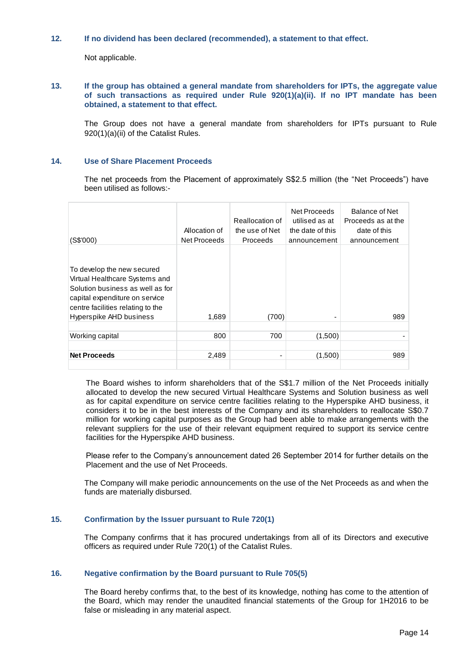## **12. If no dividend has been declared (recommended), a statement to that effect.**

Not applicable.

### **13. If the group has obtained a general mandate from shareholders for IPTs, the aggregate value of such transactions as required under Rule 920(1)(a)(ii). If no IPT mandate has been obtained, a statement to that effect.**

The Group does not have a general mandate from shareholders for IPTs pursuant to Rule 920(1)(a)(ii) of the Catalist Rules.

### **14. Use of Share Placement Proceeds**

The net proceeds from the Placement of approximately S\$2.5 million (the "Net Proceeds") have been utilised as follows:-

| (S\$'000)                                                                                                                                                                                          | Allocation of<br>Net Proceeds | Reallocation of<br>the use of Net<br>Proceeds | Net Proceeds<br>utilised as at<br>the date of this<br>announcement | Balance of Net<br>Proceeds as at the<br>date of this<br>announcement |
|----------------------------------------------------------------------------------------------------------------------------------------------------------------------------------------------------|-------------------------------|-----------------------------------------------|--------------------------------------------------------------------|----------------------------------------------------------------------|
| To develop the new secured<br>Virtual Healthcare Systems and<br>Solution business as well as for<br>capital expenditure on service<br>centre facilities relating to the<br>Hyperspike AHD business | 1,689                         | (700)                                         |                                                                    | 989                                                                  |
| Working capital                                                                                                                                                                                    | 800                           | 700                                           | (1,500)                                                            |                                                                      |
|                                                                                                                                                                                                    |                               |                                               |                                                                    |                                                                      |
| <b>Net Proceeds</b>                                                                                                                                                                                | 2,489                         |                                               | (1,500)                                                            | 989                                                                  |
|                                                                                                                                                                                                    |                               |                                               |                                                                    |                                                                      |

The Board wishes to inform shareholders that of the S\$1.7 million of the Net Proceeds initially allocated to develop the new secured Virtual Healthcare Systems and Solution business as well as for capital expenditure on service centre facilities relating to the Hyperspike AHD business, it considers it to be in the best interests of the Company and its shareholders to reallocate S\$0.7 million for working capital purposes as the Group had been able to make arrangements with the relevant suppliers for the use of their relevant equipment required to support its service centre facilities for the Hyperspike AHD business.

Please refer to the Company's announcement dated 26 September 2014 for further details on the Placement and the use of Net Proceeds.

The Company will make periodic announcements on the use of the Net Proceeds as and when the funds are materially disbursed.

#### **15. Confirmation by the Issuer pursuant to Rule 720(1)**

The Company confirms that it has procured undertakings from all of its Directors and executive officers as required under Rule 720(1) of the Catalist Rules.

## **16. Negative confirmation by the Board pursuant to Rule 705(5)**

The Board hereby confirms that, to the best of its knowledge, nothing has come to the attention of the Board, which may render the unaudited financial statements of the Group for 1H2016 to be false or misleading in any material aspect.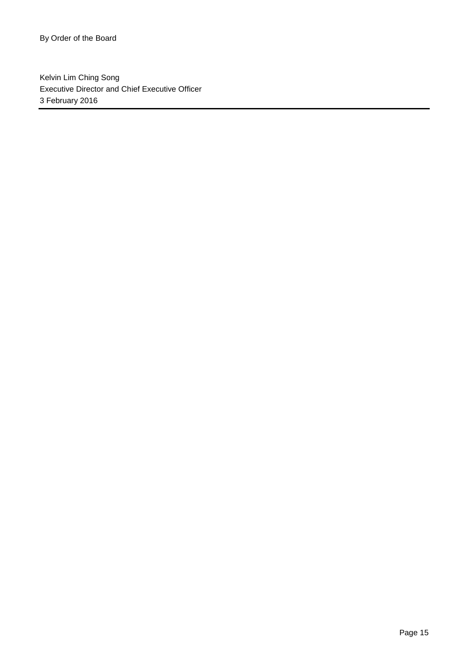Kelvin Lim Ching Song Executive Director and Chief Executive Officer 3 February 2016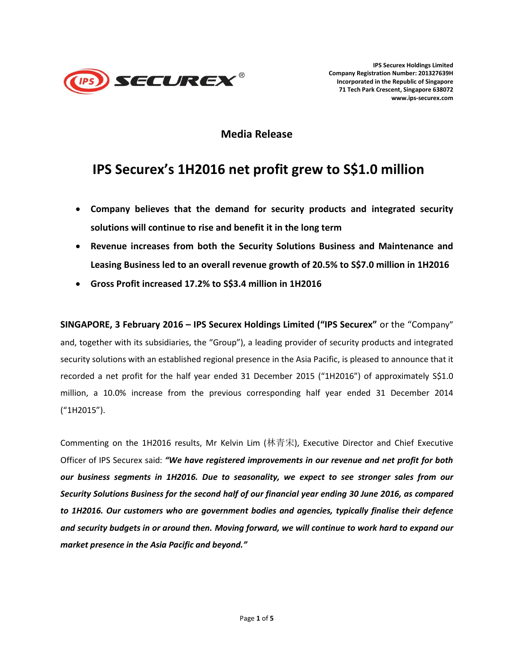

**IPS Securex Holdings Limited Company Registration Number: 201327639H Incorporated in the Republic of Singapore 71 Tech Park Crescent, Singapore 638072 www.ips-securex.com**

# **Media Release**

# **IPS Securex's 1H2016 net profit grew to S\$1.0 million**

- **Company believes that the demand for security products and integrated security solutions will continue to rise and benefit it in the long term**
- **Revenue increases from both the Security Solutions Business and Maintenance and Leasing Business led to an overall revenue growth of 20.5% to S\$7.0 million in 1H2016**
- **Gross Profit increased 17.2% to S\$3.4 million in 1H2016**

**SINGAPORE, 3 February 2016 – IPS Securex Holdings Limited ("IPS Securex"** or the "Company" and, together with its subsidiaries, the "Group"), a leading provider of security products and integrated security solutions with an established regional presence in the Asia Pacific, is pleased to announce that it recorded a net profit for the half year ended 31 December 2015 ("1H2016") of approximately S\$1.0 million, a 10.0% increase from the previous corresponding half year ended 31 December 2014 ("1H2015").

Commenting on the 1H2016 results, Mr Kelvin Lim (林青宋), Executive Director and Chief Executive Officer of IPS Securex said: *"We have registered improvements in our revenue and net profit for both our business segments in 1H2016. Due to seasonality, we expect to see stronger sales from our Security Solutions Business for the second half of our financial year ending 30 June 2016, as compared to 1H2016. Our customers who are government bodies and agencies, typically finalise their defence and security budgets in or around then. Moving forward, we will continue to work hard to expand our market presence in the Asia Pacific and beyond."*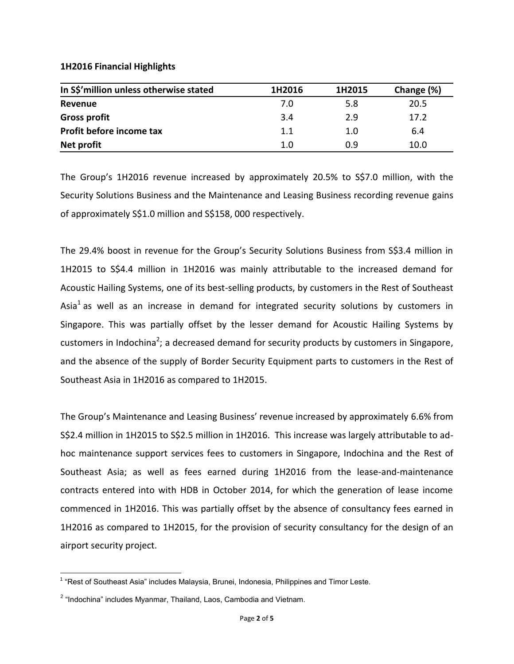## **1H2016 Financial Highlights**

| In S\$'million unless otherwise stated | 1H2016 | 1H2015 | Change (%) |
|----------------------------------------|--------|--------|------------|
| Revenue                                | 7.0    | 5.8    | 20.5       |
| <b>Gross profit</b>                    | 3.4    | 2.9    | 17.2       |
| Profit before income tax               | 1.1    | 1.0    | 6.4        |
| Net profit                             | 1.0    | 0.9    | 10.0       |

The Group's 1H2016 revenue increased by approximately 20.5% to S\$7.0 million, with the Security Solutions Business and the Maintenance and Leasing Business recording revenue gains of approximately S\$1.0 million and S\$158, 000 respectively.

The 29.4% boost in revenue for the Group's Security Solutions Business from S\$3.4 million in 1H2015 to S\$4.4 million in 1H2016 was mainly attributable to the increased demand for Acoustic Hailing Systems, one of its best-selling products, by customers in the Rest of Southeast Asia<sup>1</sup> as well as an increase in demand for integrated security solutions by customers in Singapore. This was partially offset by the lesser demand for Acoustic Hailing Systems by customers in Indochina<sup>2</sup>; a decreased demand for security products by customers in Singapore, and the absence of the supply of Border Security Equipment parts to customers in the Rest of Southeast Asia in 1H2016 as compared to 1H2015.

The Group's Maintenance and Leasing Business' revenue increased by approximately 6.6% from S\$2.4 million in 1H2015 to S\$2.5 million in 1H2016. This increase was largely attributable to adhoc maintenance support services fees to customers in Singapore, Indochina and the Rest of Southeast Asia; as well as fees earned during 1H2016 from the lease-and-maintenance contracts entered into with HDB in October 2014, for which the generation of lease income commenced in 1H2016. This was partially offset by the absence of consultancy fees earned in 1H2016 as compared to 1H2015, for the provision of security consultancy for the design of an airport security project.

 1 "Rest of Southeast Asia" includes Malaysia, Brunei, Indonesia, Philippines and Timor Leste.

<sup>&</sup>lt;sup>2</sup> "Indochina" includes Myanmar, Thailand, Laos, Cambodia and Vietnam.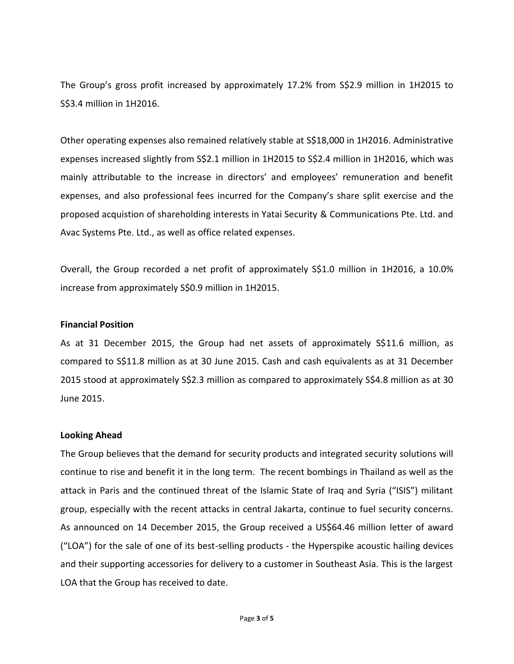The Group's gross profit increased by approximately 17.2% from S\$2.9 million in 1H2015 to S\$3.4 million in 1H2016.

Other operating expenses also remained relatively stable at S\$18,000 in 1H2016. Administrative expenses increased slightly from S\$2.1 million in 1H2015 to S\$2.4 million in 1H2016, which was mainly attributable to the increase in directors' and employees' remuneration and benefit expenses, and also professional fees incurred for the Company's share split exercise and the proposed acquistion of shareholding interests in Yatai Security & Communications Pte. Ltd. and Avac Systems Pte. Ltd., as well as office related expenses.

Overall, the Group recorded a net profit of approximately S\$1.0 million in 1H2016, a 10.0% increase from approximately S\$0.9 million in 1H2015.

## **Financial Position**

As at 31 December 2015, the Group had net assets of approximately S\$11.6 million, as compared to S\$11.8 million as at 30 June 2015. Cash and cash equivalents as at 31 December 2015 stood at approximately S\$2.3 million as compared to approximately S\$4.8 million as at 30 June 2015.

## **Looking Ahead**

The Group believes that the demand for security products and integrated security solutions will continue to rise and benefit it in the long term. The recent bombings in Thailand as well as the attack in Paris and the continued threat of the Islamic State of Iraq and Syria ("ISIS") militant group, especially with the recent attacks in central Jakarta, continue to fuel security concerns. As announced on 14 December 2015, the Group received a US\$64.46 million letter of award ("LOA") for the sale of one of its best-selling products - the Hyperspike acoustic hailing devices and their supporting accessories for delivery to a customer in Southeast Asia. This is the largest LOA that the Group has received to date.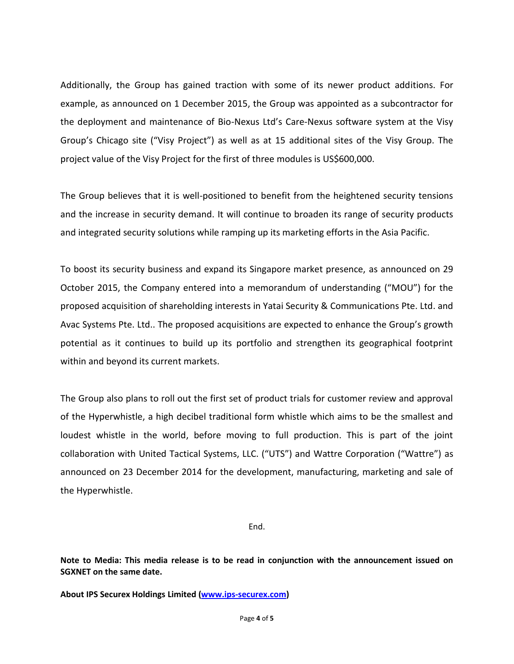Additionally, the Group has gained traction with some of its newer product additions. For example, as announced on 1 December 2015, the Group was appointed as a subcontractor for the deployment and maintenance of Bio-Nexus Ltd's Care-Nexus software system at the Visy Group's Chicago site ("Visy Project") as well as at 15 additional sites of the Visy Group. The project value of the Visy Project for the first of three modules is US\$600,000.

The Group believes that it is well-positioned to benefit from the heightened security tensions and the increase in security demand. It will continue to broaden its range of security products and integrated security solutions while ramping up its marketing efforts in the Asia Pacific.

To boost its security business and expand its Singapore market presence, as announced on 29 October 2015, the Company entered into a memorandum of understanding ("MOU") for the proposed acquisition of shareholding interests in Yatai Security & Communications Pte. Ltd. and Avac Systems Pte. Ltd.. The proposed acquisitions are expected to enhance the Group's growth potential as it continues to build up its portfolio and strengthen its geographical footprint within and beyond its current markets.

The Group also plans to roll out the first set of product trials for customer review and approval of the Hyperwhistle, a high decibel traditional form whistle which aims to be the smallest and loudest whistle in the world, before moving to full production. This is part of the joint collaboration with United Tactical Systems, LLC. ("UTS") and Wattre Corporation ("Wattre") as announced on 23 December 2014 for the development, manufacturing, marketing and sale of the Hyperwhistle.

End.

**Note to Media: This media release is to be read in conjunction with the announcement issued on SGXNET on the same date.**

**About IPS Securex Holdings Limited [\(www.ips-securex.com\)](http://www.ips-securex.com/)**